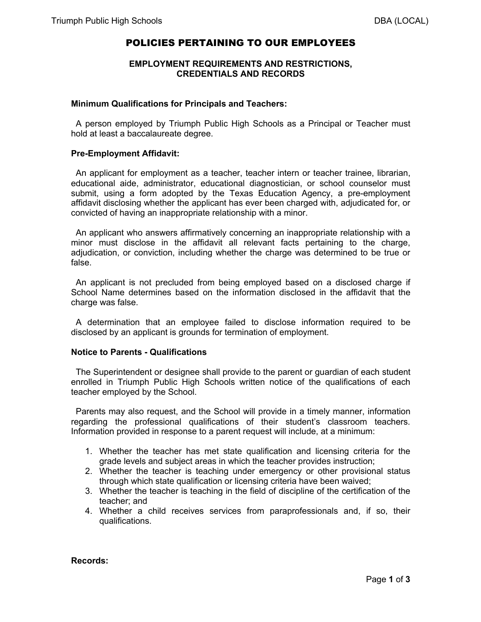# POLICIES PERTAINING TO OUR EMPLOYEES

## **EMPLOYMENT REQUIREMENTS AND RESTRICTIONS, CREDENTIALS AND RECORDS**

#### **Minimum Qualifications for Principals and Teachers:**

 A person employed by Triumph Public High Schools as a Principal or Teacher must hold at least a baccalaureate degree.

#### **Pre-Employment Affidavit:**

 An applicant for employment as a teacher, teacher intern or teacher trainee, librarian, educational aide, administrator, educational diagnostician, or school counselor must submit, using a form adopted by the Texas Education Agency, a pre-employment affidavit disclosing whether the applicant has ever been charged with, adjudicated for, or convicted of having an inappropriate relationship with a minor.

 An applicant who answers affirmatively concerning an inappropriate relationship with a minor must disclose in the affidavit all relevant facts pertaining to the charge, adjudication, or conviction, including whether the charge was determined to be true or false.

 An applicant is not precluded from being employed based on a disclosed charge if School Name determines based on the information disclosed in the affidavit that the charge was false.

 A determination that an employee failed to disclose information required to be disclosed by an applicant is grounds for termination of employment.

## **Notice to Parents - Qualifications**

 The Superintendent or designee shall provide to the parent or guardian of each student enrolled in Triumph Public High Schools written notice of the qualifications of each teacher employed by the School.

 Parents may also request, and the School will provide in a timely manner, information regarding the professional qualifications of their student's classroom teachers. Information provided in response to a parent request will include, at a minimum:

- 1. Whether the teacher has met state qualification and licensing criteria for the grade levels and subject areas in which the teacher provides instruction;
- 2. Whether the teacher is teaching under emergency or other provisional status through which state qualification or licensing criteria have been waived;
- 3. Whether the teacher is teaching in the field of discipline of the certification of the teacher; and
- 4. Whether a child receives services from paraprofessionals and, if so, their qualifications.

**Records:**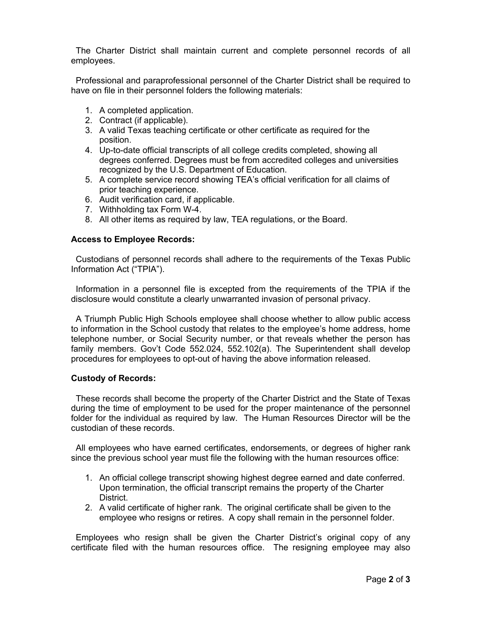The Charter District shall maintain current and complete personnel records of all employees.

 Professional and paraprofessional personnel of the Charter District shall be required to have on file in their personnel folders the following materials:

- 1. A completed application.
- 2. Contract (if applicable).
- 3. A valid Texas teaching certificate or other certificate as required for the position.
- 4. Up-to-date official transcripts of all college credits completed, showing all degrees conferred. Degrees must be from accredited colleges and universities recognized by the U.S. Department of Education.
- 5. A complete service record showing TEA's official verification for all claims of prior teaching experience.
- 6. Audit verification card, if applicable.
- 7. Withholding tax Form W-4.
- 8. All other items as required by law, TEA regulations, or the Board.

# **Access to Employee Records:**

 Custodians of personnel records shall adhere to the requirements of the Texas Public Information Act ("TPIA").

 Information in a personnel file is excepted from the requirements of the TPIA if the disclosure would constitute a clearly unwarranted invasion of personal privacy.

 A Triumph Public High Schools employee shall choose whether to allow public access to information in the School custody that relates to the employee's home address, home telephone number, or Social Security number, or that reveals whether the person has family members. Gov't Code 552.024, 552.102(a). The Superintendent shall develop procedures for employees to opt-out of having the above information released.

## **Custody of Records:**

 These records shall become the property of the Charter District and the State of Texas during the time of employment to be used for the proper maintenance of the personnel folder for the individual as required by law. The Human Resources Director will be the custodian of these records.

 All employees who have earned certificates, endorsements, or degrees of higher rank since the previous school year must file the following with the human resources office:

- 1. An official college transcript showing highest degree earned and date conferred. Upon termination, the official transcript remains the property of the Charter District.
- 2. A valid certificate of higher rank. The original certificate shall be given to the employee who resigns or retires. A copy shall remain in the personnel folder.

 Employees who resign shall be given the Charter District's original copy of any certificate filed with the human resources office. The resigning employee may also